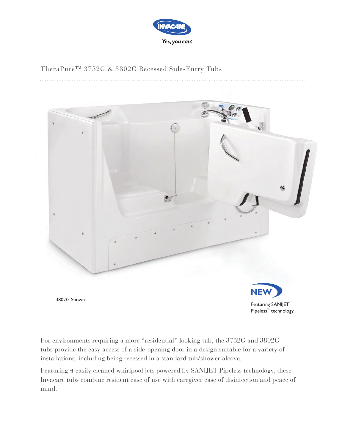

# TheraPure<sup>™</sup> 3752G & 3802G Recessed Side-Entry Tubs



For environments requiring a more "residential" looking tub, the 3752G and 3802G tubs provide the easy access of a side-opening door in a design suitable for a variety of installations, including being recessed in a standard tub/shower alcove.

Featuring 4 easily cleaned whirlpool jets powered by SANIJET Pipeless technology, these Invacare tubs combine resident ease of use with caregiver ease of disinfection and peace of mind.